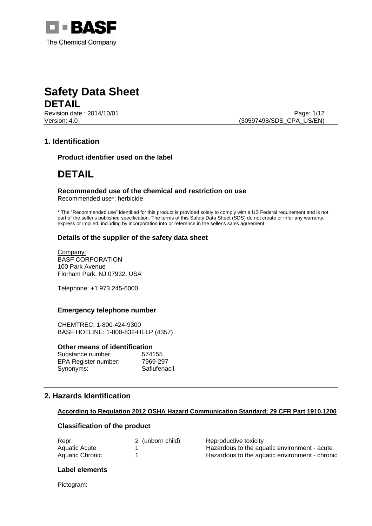



Revision date : 2014/10/01 Version: 4.0 (30597498/SDS\_CPA\_US/EN)

# **1. Identification**

**Product identifier used on the label** 

# **DETAIL**

# **Recommended use of the chemical and restriction on use**

Recommended use\*: herbicide

\* The "Recommended use" identified for this product is provided solely to comply with a US Federal requirement and is not part of the seller's published specification. The terms of this Safety Data Sheet (SDS) do not create or infer any warranty, express or implied, including by incorporation into or reference in the seller's sales agreement.

# **Details of the supplier of the safety data sheet**

Company: BASF CORPORATION 100 Park Avenue Florham Park, NJ 07932, USA

Telephone: +1 973 245-6000

# **Emergency telephone number**

CHEMTREC: 1-800-424-9300 BASF HOTLINE: 1-800-832-HELP (4357)

### **Other means of identification**

| Substance number:    | 574155       |
|----------------------|--------------|
| EPA Register number: | 7969-297     |
| Synonyms:            | Saflufenacil |

# **2. Hazards Identification**

# **According to Regulation 2012 OSHA Hazard Communication Standard; 29 CFR Part 1910.1200**

# **Classification of the product**

| Repr.           | 2 (unborn child) | Reproductive toxicity                          |
|-----------------|------------------|------------------------------------------------|
| Aquatic Acute   |                  | Hazardous to the aquatic environment - acute   |
| Aquatic Chronic |                  | Hazardous to the aquatic environment - chronic |

### **Label elements**

Pictogram: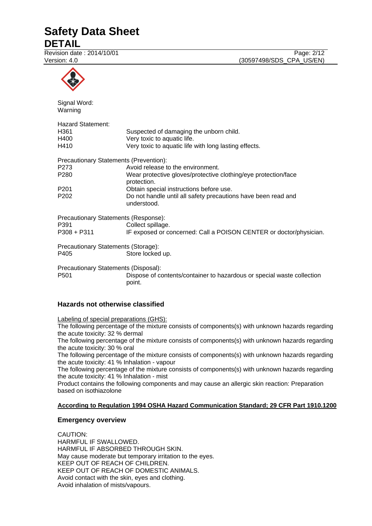# **Safety Data Sheet**

**DETAIL**

Revision date : 2014/10/01 Page: 2/12 Version: 4.0 (30597498/SDS\_CPA\_US/EN)



# **Hazards not otherwise classified**

Labeling of special preparations (GHS):

The following percentage of the mixture consists of components(s) with unknown hazards regarding the acute toxicity: 32 % dermal

The following percentage of the mixture consists of components(s) with unknown hazards regarding the acute toxicity: 30 % oral

The following percentage of the mixture consists of components(s) with unknown hazards regarding the acute toxicity: 41 % Inhalation - vapour

The following percentage of the mixture consists of components(s) with unknown hazards regarding the acute toxicity: 41 % Inhalation - mist

Product contains the following components and may cause an allergic skin reaction: Preparation based on isothiazolone

# **According to Regulation 1994 OSHA Hazard Communication Standard; 29 CFR Part 1910.1200**

### **Emergency overview**

CAUTION: HARMFUL IF SWALLOWED. HARMFUL IF ABSORBED THROUGH SKIN. May cause moderate but temporary irritation to the eyes. KEEP OUT OF REACH OF CHILDREN. KEEP OUT OF REACH OF DOMESTIC ANIMALS. Avoid contact with the skin, eyes and clothing. Avoid inhalation of mists/vapours.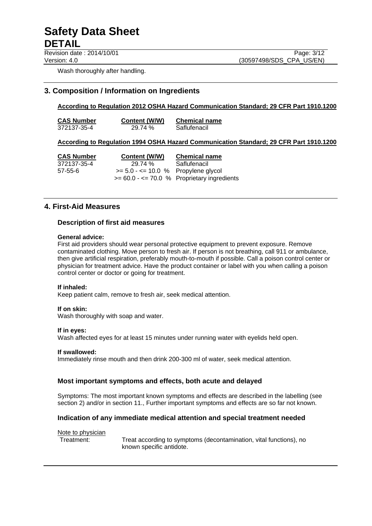Revision date : 2014/10/01 Page: 3/12

Version: 4.0 (30597498/SDS\_CPA\_US/EN)

Wash thoroughly after handling.

# **3. Composition / Information on Ingredients**

# **According to Regulation 2012 OSHA Hazard Communication Standard; 29 CFR Part 1910.1200**

**CAS Number Content (W/W) Chemical name** 372137-35-4 29.74 % Saflufenacil

### **According to Regulation 1994 OSHA Hazard Communication Standard; 29 CFR Part 1910.1200**

**CAS Number Content (W/W) Chemical name** 372137-35-4 29.74 % Saflufenacil  $57-55-6$   $>5.0 - 5.0 - 10.0$  % Propylene glycol  $>= 60.0 - 70.0$  % Proprietary ingredients

# **4. First-Aid Measures**

### **Description of first aid measures**

### **General advice:**

First aid providers should wear personal protective equipment to prevent exposure. Remove contaminated clothing. Move person to fresh air. If person is not breathing, call 911 or ambulance, then give artificial respiration, preferably mouth-to-mouth if possible. Call a poison control center or physician for treatment advice. Have the product container or label with you when calling a poison control center or doctor or going for treatment.

### **If inhaled:**

Keep patient calm, remove to fresh air, seek medical attention.

### **If on skin:**

Wash thoroughly with soap and water.

### **If in eyes:**

Wash affected eyes for at least 15 minutes under running water with eyelids held open.

### **If swallowed:**

Immediately rinse mouth and then drink 200-300 ml of water, seek medical attention.

### **Most important symptoms and effects, both acute and delayed**

Symptoms: The most important known symptoms and effects are described in the labelling (see section 2) and/or in section 11., Further important symptoms and effects are so far not known.

### **Indication of any immediate medical attention and special treatment needed**

#### Note to physician

Treatment: Treat according to symptoms (decontamination, vital functions), no known specific antidote.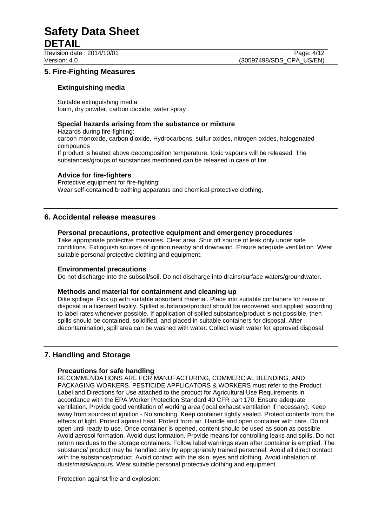# Revision date : 2014/10/01 Page: 4/12

# **5. Fire-Fighting Measures**

# **Extinguishing media**

Suitable extinguishing media: foam, dry powder, carbon dioxide, water spray

# **Special hazards arising from the substance or mixture**

Hazards during fire-fighting: carbon monoxide, carbon dioxide, Hydrocarbons, sulfur oxides, nitrogen oxides, halogenated compounds If product is heated above decomposition temperature, toxic vapours will be released. The substances/groups of substances mentioned can be released in case of fire.

# **Advice for fire-fighters**

Protective equipment for fire-fighting: Wear self-contained breathing apparatus and chemical-protective clothing.

# **6. Accidental release measures**

# **Personal precautions, protective equipment and emergency procedures**

Take appropriate protective measures. Clear area. Shut off source of leak only under safe conditions. Extinguish sources of ignition nearby and downwind. Ensure adequate ventilation. Wear suitable personal protective clothing and equipment.

# **Environmental precautions**

Do not discharge into the subsoil/soil. Do not discharge into drains/surface waters/groundwater.

# **Methods and material for containment and cleaning up**

Dike spillage. Pick up with suitable absorbent material. Place into suitable containers for reuse or disposal in a licensed facility. Spilled substance/product should be recovered and applied according to label rates whenever possible. If application of spilled substance/product is not possible, then spills should be contained, solidified, and placed in suitable containers for disposal. After decontamination, spill area can be washed with water. Collect wash water for approved disposal.

# **7. Handling and Storage**

# **Precautions for safe handling**

RECOMMENDATIONS ARE FOR MANUFACTURING, COMMERCIAL BLENDING, AND PACKAGING WORKERS. PESTICIDE APPLICATORS & WORKERS must refer to the Product Label and Directions for Use attached to the product for Agricultural Use Requirements in accordance with the EPA Worker Protection Standard 40 CFR part 170. Ensure adequate ventilation. Provide good ventilation of working area (local exhaust ventilation if necessary). Keep away from sources of ignition - No smoking. Keep container tightly sealed. Protect contents from the effects of light. Protect against heat. Protect from air. Handle and open container with care. Do not open until ready to use. Once container is opened, content should be used as soon as possible. Avoid aerosol formation. Avoid dust formation. Provide means for controlling leaks and spills. Do not return residues to the storage containers. Follow label warnings even after container is emptied. The substance/ product may be handled only by appropriately trained personnel. Avoid all direct contact with the substance/product. Avoid contact with the skin, eyes and clothing. Avoid inhalation of dusts/mists/vapours. Wear suitable personal protective clothing and equipment.

Protection against fire and explosion: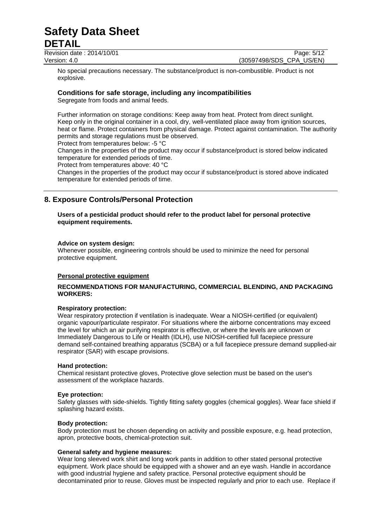Revision date : 2014/10/01 Page: 5/12 Version: 4.0 (30597498/SDS\_CPA\_US/EN)

No special precautions necessary. The substance/product is non-combustible. Product is not explosive.

# **Conditions for safe storage, including any incompatibilities**

Segregate from foods and animal feeds.

Further information on storage conditions: Keep away from heat. Protect from direct sunlight. Keep only in the original container in a cool, dry, well-ventilated place away from ignition sources, heat or flame. Protect containers from physical damage. Protect against contamination. The authority permits and storage regulations must be observed.

Protect from temperatures below: -5 °C

Changes in the properties of the product may occur if substance/product is stored below indicated temperature for extended periods of time.

Protect from temperatures above: 40 °C

Changes in the properties of the product may occur if substance/product is stored above indicated temperature for extended periods of time.

# **8. Exposure Controls/Personal Protection**

### **Users of a pesticidal product should refer to the product label for personal protective equipment requirements.**

### **Advice on system design:**

Whenever possible, engineering controls should be used to minimize the need for personal protective equipment.

### **Personal protective equipment**

### **RECOMMENDATIONS FOR MANUFACTURING, COMMERCIAL BLENDING, AND PACKAGING WORKERS:**

### **Respiratory protection:**

Wear respiratory protection if ventilation is inadequate. Wear a NIOSH-certified (or equivalent) organic vapour/particulate respirator. For situations where the airborne concentrations may exceed the level for which an air purifying respirator is effective, or where the levels are unknown or Immediately Dangerous to Life or Health (IDLH), use NIOSH-certified full facepiece pressure demand self-contained breathing apparatus (SCBA) or a full facepiece pressure demand supplied-air respirator (SAR) with escape provisions.

#### **Hand protection:**

Chemical resistant protective gloves, Protective glove selection must be based on the user's assessment of the workplace hazards.

#### **Eye protection:**

Safety glasses with side-shields. Tightly fitting safety goggles (chemical goggles). Wear face shield if splashing hazard exists.

### **Body protection:**

Body protection must be chosen depending on activity and possible exposure, e.g. head protection, apron, protective boots, chemical-protection suit.

### **General safety and hygiene measures:**

Wear long sleeved work shirt and long work pants in addition to other stated personal protective equipment. Work place should be equipped with a shower and an eye wash. Handle in accordance with good industrial hygiene and safety practice. Personal protective equipment should be decontaminated prior to reuse. Gloves must be inspected regularly and prior to each use. Replace if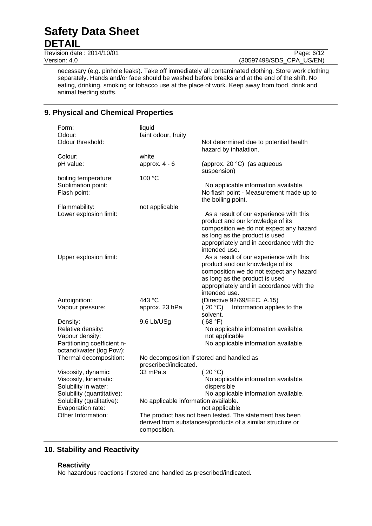Revision date : 2014/10/01 Page: 6/12

necessary (e.g. pinhole leaks). Take off immediately all contaminated clothing. Store work clothing separately. Hands and/or face should be washed before breaks and at the end of the shift. No eating, drinking, smoking or tobacco use at the place of work. Keep away from food, drink and animal feeding stuffs.

# **9. Physical and Chemical Properties**

| Form:<br>Odour:                                | liquid<br>faint odour, fruity                                                                  |                                                                                                                        |  |
|------------------------------------------------|------------------------------------------------------------------------------------------------|------------------------------------------------------------------------------------------------------------------------|--|
| Odour threshold:                               |                                                                                                | Not determined due to potential health<br>hazard by inhalation.                                                        |  |
| Colour:                                        | white                                                                                          |                                                                                                                        |  |
| pH value:                                      | approx. $4 - 6$                                                                                | (approx. 20 °C) (as aqueous<br>suspension)                                                                             |  |
| boiling temperature:                           | 100 °C                                                                                         |                                                                                                                        |  |
| Sublimation point:<br>Flash point:             |                                                                                                | No applicable information available.<br>No flash point - Measurement made up to<br>the boiling point.                  |  |
| Flammability:                                  | not applicable                                                                                 |                                                                                                                        |  |
| Lower explosion limit:                         |                                                                                                | As a result of our experience with this<br>product and our knowledge of its<br>composition we do not expect any hazard |  |
|                                                |                                                                                                | as long as the product is used                                                                                         |  |
|                                                |                                                                                                | appropriately and in accordance with the<br>intended use.                                                              |  |
| Upper explosion limit:                         |                                                                                                | As a result of our experience with this                                                                                |  |
|                                                |                                                                                                | product and our knowledge of its                                                                                       |  |
|                                                |                                                                                                | composition we do not expect any hazard<br>as long as the product is used                                              |  |
|                                                |                                                                                                | appropriately and in accordance with the                                                                               |  |
|                                                |                                                                                                | intended use.                                                                                                          |  |
| Autoignition:                                  | 443 °C                                                                                         | (Directive 92/69/EEC, A.15)                                                                                            |  |
| Vapour pressure:                               | approx. 23 hPa                                                                                 | Information applies to the<br>(20 °C)                                                                                  |  |
|                                                |                                                                                                | solvent.                                                                                                               |  |
| Density:                                       | 9.6 Lb/USg                                                                                     | (68 °F)                                                                                                                |  |
| Relative density:                              |                                                                                                | No applicable information available.                                                                                   |  |
| Vapour density:<br>Partitioning coefficient n- |                                                                                                | not applicable<br>No applicable information available.                                                                 |  |
| octanol/water (log Pow):                       |                                                                                                |                                                                                                                        |  |
| Thermal decomposition:                         |                                                                                                | No decomposition if stored and handled as                                                                              |  |
|                                                | prescribed/indicated.                                                                          |                                                                                                                        |  |
| Viscosity, dynamic:                            | 33 mPa.s                                                                                       | (20 °C)                                                                                                                |  |
| Viscosity, kinematic:                          |                                                                                                | No applicable information available.                                                                                   |  |
| Solubility in water:                           |                                                                                                | dispersible                                                                                                            |  |
| Solubility (quantitative):                     |                                                                                                | No applicable information available.                                                                                   |  |
| Solubility (qualitative):                      | No applicable information available.                                                           |                                                                                                                        |  |
| Other Information:                             | Evaporation rate:<br>not applicable<br>The product has not been tested. The statement has been |                                                                                                                        |  |
|                                                | derived from substances/products of a similar structure or<br>composition.                     |                                                                                                                        |  |
|                                                |                                                                                                |                                                                                                                        |  |

# **10. Stability and Reactivity**

# **Reactivity**

No hazardous reactions if stored and handled as prescribed/indicated.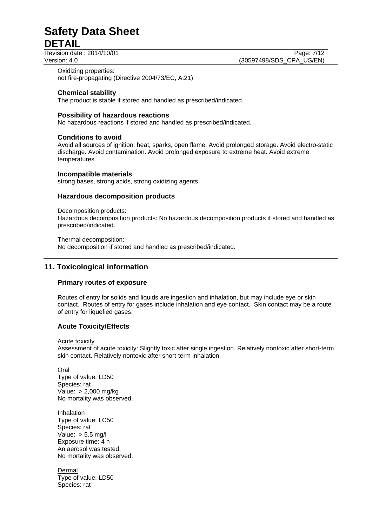Revision date : 2014/10/01 Page: 7/12

Version: 4.0 (30597498/SDS\_CPA\_US/EN)

Oxidizing properties: not fire-propagating (Directive 2004/73/EC, A.21)

# **Chemical stability**

The product is stable if stored and handled as prescribed/indicated.

### **Possibility of hazardous reactions**

No hazardous reactions if stored and handled as prescribed/indicated.

### **Conditions to avoid**

Avoid all sources of ignition: heat, sparks, open flame. Avoid prolonged storage. Avoid electro-static discharge. Avoid contamination. Avoid prolonged exposure to extreme heat. Avoid extreme temperatures.

### **Incompatible materials**

strong bases, strong acids, strong oxidizing agents

### **Hazardous decomposition products**

Decomposition products:

Hazardous decomposition products: No hazardous decomposition products if stored and handled as prescribed/indicated.

Thermal decomposition:

No decomposition if stored and handled as prescribed/indicated.

# **11. Toxicological information**

# **Primary routes of exposure**

Routes of entry for solids and liquids are ingestion and inhalation, but may include eye or skin contact. Routes of entry for gases include inhalation and eye contact. Skin contact may be a route of entry for liquefied gases.

# **Acute Toxicity/Effects**

Acute toxicity

Assessment of acute toxicity: Slightly toxic after single ingestion. Relatively nontoxic after short-term skin contact. Relatively nontoxic after short-term inhalation.

Oral Type of value: LD50 Species: rat Value: > 2,000 mg/kg No mortality was observed.

Inhalation Type of value: LC50 Species: rat Value: > 5.5 mg/l Exposure time: 4 h An aerosol was tested. No mortality was observed.

Dermal Type of value: LD50 Species: rat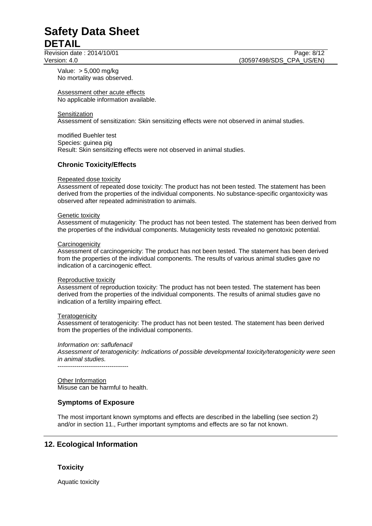Revision date : 2014/10/01 Page: 8/12 Version: 4.0 (30597498/SDS\_CPA\_US/EN)

Value: > 5,000 mg/kg No mortality was observed.

Assessment other acute effects No applicable information available.

### **Sensitization**

Assessment of sensitization: Skin sensitizing effects were not observed in animal studies.

modified Buehler test Species: guinea pig Result: Skin sensitizing effects were not observed in animal studies.

### **Chronic Toxicity/Effects**

### Repeated dose toxicity

Assessment of repeated dose toxicity: The product has not been tested. The statement has been derived from the properties of the individual components. No substance-specific organtoxicity was observed after repeated administration to animals.

#### Genetic toxicity

Assessment of mutagenicity: The product has not been tested. The statement has been derived from the properties of the individual components. Mutagenicity tests revealed no genotoxic potential.

### **Carcinogenicity**

Assessment of carcinogenicity: The product has not been tested. The statement has been derived from the properties of the individual components. The results of various animal studies gave no indication of a carcinogenic effect.

#### Reproductive toxicity

Assessment of reproduction toxicity: The product has not been tested. The statement has been derived from the properties of the individual components. The results of animal studies gave no indication of a fertility impairing effect.

### **Teratogenicity**

Assessment of teratogenicity: The product has not been tested. The statement has been derived from the properties of the individual components.

### *Information on: saflufenacil*

*Assessment of teratogenicity: Indications of possible developmental toxicity/teratogenicity were seen in animal studies.* 

----------------------------------

Other Information Misuse can be harmful to health.

# **Symptoms of Exposure**

The most important known symptoms and effects are described in the labelling (see section 2) and/or in section 11., Further important symptoms and effects are so far not known.

# **12. Ecological Information**

# **Toxicity**

Aquatic toxicity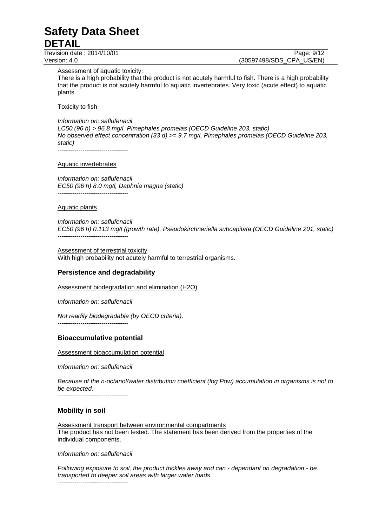Revision date : 2014/10/01 Page: 9/12

Version: 4.0 (30597498/SDS\_CPA\_US/EN)

Assessment of aquatic toxicity:

There is a high probability that the product is not acutely harmful to fish. There is a high probability that the product is not acutely harmful to aquatic invertebrates. Very toxic (acute effect) to aquatic plants.

Toxicity to fish

*Information on: saflufenacil LC50 (96 h) > 96.8 mg/l, Pimephales promelas (OECD Guideline 203, static) No observed effect concentration (33 d) >= 9.7 mg/l, Pimephales promelas (OECD Guideline 203, static)*  ----------------------------------

Aquatic invertebrates

*Information on: saflufenacil EC50 (96 h) 8.0 mg/l, Daphnia magna (static)*  ----------------------------------

Aquatic plants

*Information on: saflufenacil EC50 (96 h) 0.113 mg/l (growth rate), Pseudokirchneriella subcapitata (OECD Guideline 201, static)*  ----------------------------------

Assessment of terrestrial toxicity With high probability not acutely harmful to terrestrial organisms.

# **Persistence and degradability**

Assessment biodegradation and elimination (H2O)

*Information on: saflufenacil* 

*Not readily biodegradable (by OECD criteria).* 

----------------------------------

# **Bioaccumulative potential**

Assessment bioaccumulation potential

*Information on: saflufenacil* 

*Because of the n-octanol/water distribution coefficient (log Pow) accumulation in organisms is not to be expected.* 

----------------------------------

# **Mobility in soil**

Assessment transport between environmental compartments The product has not been tested. The statement has been derived from the properties of the individual components.

*Information on: saflufenacil* 

*Following exposure to soil, the product trickles away and can - dependant on degradation - be transported to deeper soil areas with larger water loads.* ----------------------------------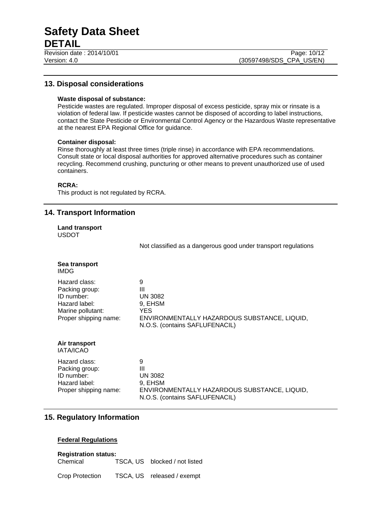Revision date : 2014/10/01

# **13. Disposal considerations**

### **Waste disposal of substance:**

Pesticide wastes are regulated. Improper disposal of excess pesticide, spray mix or rinsate is a violation of federal law. If pesticide wastes cannot be disposed of according to label instructions, contact the State Pesticide or Environmental Control Agency or the Hazardous Waste representative at the nearest EPA Regional Office for guidance.

### **Container disposal:**

Rinse thoroughly at least three times (triple rinse) in accordance with EPA recommendations. Consult state or local disposal authorities for approved alternative procedures such as container recycling. Recommend crushing, puncturing or other means to prevent unauthorized use of used containers.

### **RCRA:**

This product is not regulated by RCRA.

# **14. Transport Information**

**Land transport**  USDOT

Not classified as a dangerous good under transport regulations

| Sea transport<br>IMDG.                                                                                       |                                                                                                                                     |
|--------------------------------------------------------------------------------------------------------------|-------------------------------------------------------------------------------------------------------------------------------------|
| Hazard class:<br>Packing group:<br>ID number:<br>Hazard label:<br>Marine pollutant:<br>Proper shipping name: | 9<br>Ш<br><b>UN 3082</b><br>9, EHSM<br><b>YES</b><br>ENVIRONMENTALLY HAZARDOUS SUBSTANCE, LIQUID,<br>N.O.S. (contains SAFLUFENACIL) |
| Air transport<br><b>IATA/ICAO</b>                                                                            |                                                                                                                                     |
| Hazard class:<br>Packing group:<br>ID number:<br>Hazard label:<br>Proper shipping name:                      | 9<br>Ш<br><b>UN 3082</b><br>9, EHSM<br>ENVIRONMENTALLY HAZARDOUS SUBSTANCE, LIQUID,<br>N.O.S. (contains SAFLUFENACIL)               |

# **15. Regulatory Information**

# **Federal Regulations**

|                      | <b>Registration status:</b> |         |
|----------------------|-----------------------------|---------|
| $\sim$ $\sim$ $\sim$ |                             | $-\sim$ |

Chemical TSCA, US blocked / not listed

Crop Protection TSCA, US released / exempt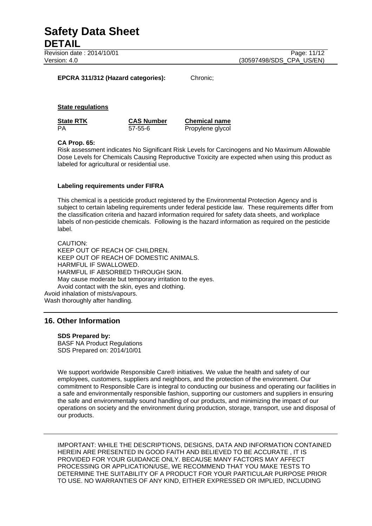Version: 4.0 (30597498/SDS\_CPA\_US/EN)

### **EPCRA 311/312 (Hazard categories):** Chronic;

### **State regulations**

| <b>State RTK</b> | <b>CAS Number</b> | <b>Chemical name</b> |
|------------------|-------------------|----------------------|
| PA               | 57-55-6           | Propylene glycol     |

### **CA Prop. 65:**

Risk assessment indicates No Significant Risk Levels for Carcinogens and No Maximum Allowable Dose Levels for Chemicals Causing Reproductive Toxicity are expected when using this product as labeled for agricultural or residential use.

### **Labeling requirements under FIFRA**

This chemical is a pesticide product registered by the Environmental Protection Agency and is subject to certain labeling requirements under federal pesticide law. These requirements differ from the classification criteria and hazard information required for safety data sheets, and workplace labels of non-pesticide chemicals. Following is the hazard information as required on the pesticide label.

CAUTION: KEEP OUT OF REACH OF CHILDREN. KEEP OUT OF REACH OF DOMESTIC ANIMALS. HARMFUL IF SWALLOWED. HARMFUL IF ABSORBED THROUGH SKIN. May cause moderate but temporary irritation to the eyes. Avoid contact with the skin, eyes and clothing. Avoid inhalation of mists/vapours. Wash thoroughly after handling.

# **16. Other Information**

**SDS Prepared by:**  BASF NA Product Regulations SDS Prepared on: 2014/10/01

We support worldwide Responsible Care® initiatives. We value the health and safety of our employees, customers, suppliers and neighbors, and the protection of the environment. Our commitment to Responsible Care is integral to conducting our business and operating our facilities in a safe and environmentally responsible fashion, supporting our customers and suppliers in ensuring the safe and environmentally sound handling of our products, and minimizing the impact of our operations on society and the environment during production, storage, transport, use and disposal of our products.

IMPORTANT: WHILE THE DESCRIPTIONS, DESIGNS, DATA AND INFORMATION CONTAINED HEREIN ARE PRESENTED IN GOOD FAITH AND BELIEVED TO BE ACCURATE , IT IS PROVIDED FOR YOUR GUIDANCE ONLY. BECAUSE MANY FACTORS MAY AFFECT PROCESSING OR APPLICATION/USE, WE RECOMMEND THAT YOU MAKE TESTS TO DETERMINE THE SUITABILITY OF A PRODUCT FOR YOUR PARTICULAR PURPOSE PRIOR TO USE. NO WARRANTIES OF ANY KIND, EITHER EXPRESSED OR IMPLIED, INCLUDING